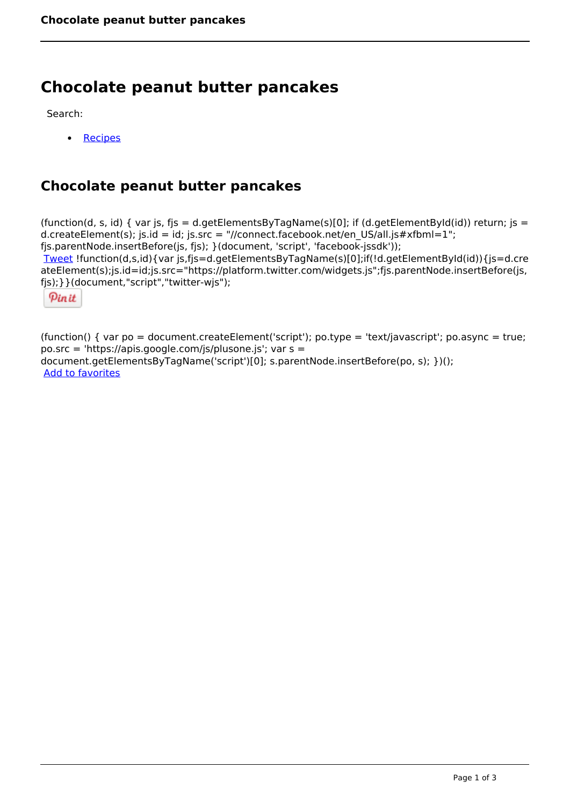## **Chocolate peanut butter pancakes**

Search:

 [Recipes](https://www.naturalhealthmag.com.au/nourish/recipes)  $\bullet$ 

## **Chocolate peanut butter pancakes**

(function(d, s, id) { var js, fjs = d.getElementsByTagName(s)[0]; if (d.getElementById(id)) return; js = d.createElement(s); js.id = id; js.src = "//connect.facebook.net/en\_US/all.js#xfbml=1"; fjs.parentNode.insertBefore(js, fjs); }(document, 'script', 'facebook-jssdk')); [Tweet](https://twitter.com/share) !function(d,s,id){var js,fjs=d.getElementsByTagName(s)[0];if(!d.getElementById(id)){js=d.cre ateElement(s);js.id=id;js.src="https://platform.twitter.com/widgets.js";fjs.parentNode.insertBefore(js, fjs);}}(document,"script","twitter-wjs");

Pinit

(function() { var po = document.createElement('script'); po.type = 'text/javascript'; po.async = true; po.src = 'https://apis.google.com/js/plusone.js'; var s = document.getElementsByTagName('script')[0]; s.parentNode.insertBefore(po, s); })(); Add to favorites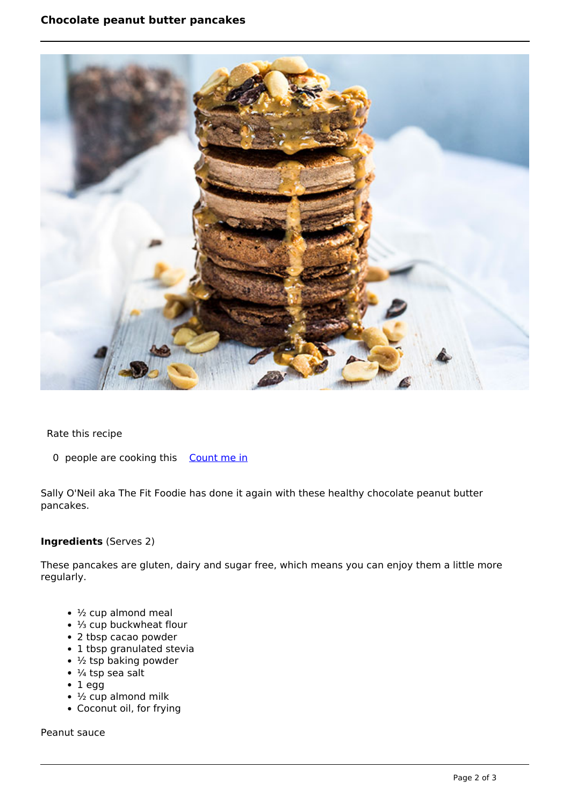

Rate this recipe

0 people are cooking this [Count me in](https://www.naturalhealthmag.com.au/flag/flag/favorites/2470?destination=printpdf%2F2470&token=3a34330450a2fd06278cb3044d727158)

Sally O'Neil aka The Fit Foodie has done it again with these healthy chocolate peanut butter pancakes.

## **Ingredients** (Serves 2)

These pancakes are gluten, dairy and sugar free, which means you can enjoy them a little more regularly.

- $\cdot$  1/<sub>2</sub> cup almond meal
- ⅓ cup buckwheat flour
- 2 tbsp cacao powder
- 1 tbsp granulated stevia
- $\cdot$  1/2 tsp baking powder
- $\cdot$  ¼ tsp sea salt
- $\cdot$  1 egg
- $\cdot$  1/<sub>2</sub> cup almond milk
- Coconut oil, for frying

Peanut sauce